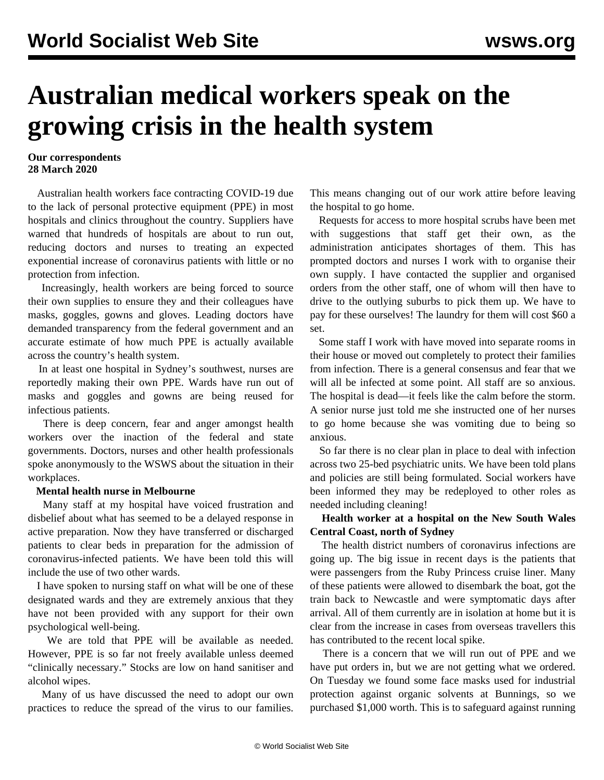# **Australian medical workers speak on the growing crisis in the health system**

### **Our correspondents 28 March 2020**

 Australian health workers face contracting COVID-19 due to the lack of personal protective equipment (PPE) in most hospitals and clinics throughout the country. Suppliers have warned that hundreds of hospitals are about to run out, reducing doctors and nurses to treating an expected exponential increase of coronavirus patients with little or no protection from infection.

 Increasingly, health workers are being forced to source their own supplies to ensure they and their colleagues have masks, goggles, gowns and gloves. Leading doctors have demanded transparency from the federal government and an accurate estimate of how much PPE is actually available across the country's health system.

 In at least one hospital in Sydney's southwest, nurses are reportedly making their own PPE. Wards have run out of masks and goggles and gowns are being reused for infectious patients.

 There is deep concern, fear and anger amongst health workers over the inaction of the federal and state governments. Doctors, nurses and other health professionals spoke anonymously to the WSWS about the situation in their workplaces.

#### **Mental health nurse in Melbourne**

 Many staff at my hospital have voiced frustration and disbelief about what has seemed to be a delayed response in active preparation. Now they have transferred or discharged patients to clear beds in preparation for the admission of coronavirus-infected patients. We have been told this will include the use of two other wards.

 I have spoken to nursing staff on what will be one of these designated wards and they are extremely anxious that they have not been provided with any support for their own psychological well-being.

 We are told that PPE will be available as needed. However, PPE is so far not freely available unless deemed "clinically necessary." Stocks are low on hand sanitiser and alcohol wipes.

 Many of us have discussed the need to adopt our own practices to reduce the spread of the virus to our families.

This means changing out of our work attire before leaving the hospital to go home.

 Requests for access to more hospital scrubs have been met with suggestions that staff get their own, as the administration anticipates shortages of them. This has prompted doctors and nurses I work with to organise their own supply. I have contacted the supplier and organised orders from the other staff, one of whom will then have to drive to the outlying suburbs to pick them up. We have to pay for these ourselves! The laundry for them will cost \$60 a set.

 Some staff I work with have moved into separate rooms in their house or moved out completely to protect their families from infection. There is a general consensus and fear that we will all be infected at some point. All staff are so anxious. The hospital is dead—it feels like the calm before the storm. A senior nurse just told me she instructed one of her nurses to go home because she was vomiting due to being so anxious.

 So far there is no clear plan in place to deal with infection across two 25-bed psychiatric units. We have been told plans and policies are still being formulated. Social workers have been informed they may be redeployed to other roles as needed including cleaning!

# **Health worker at a hospital on the New South Wales Central Coast, north of Sydney**

 The health district numbers of coronavirus infections are going up. The big issue in recent days is the patients that were passengers from the Ruby Princess cruise liner. Many of these patients were allowed to disembark the boat, got the train back to Newcastle and were symptomatic days after arrival. All of them currently are in isolation at home but it is clear from the increase in cases from overseas travellers this has contributed to the recent local spike.

 There is a concern that we will run out of PPE and we have put orders in, but we are not getting what we ordered. On Tuesday we found some face masks used for industrial protection against organic solvents at Bunnings, so we purchased \$1,000 worth. This is to safeguard against running